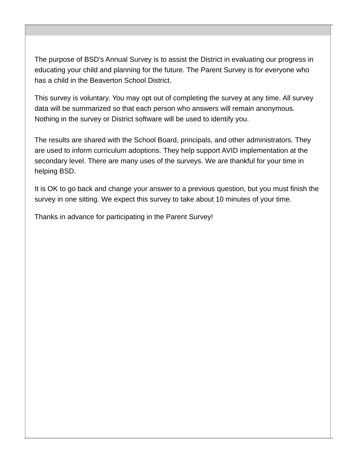The purpose of BSD's Annual Survey is to assist the District in evaluating our progress in educating your child and planning for the future. The Parent Survey is for everyone who has a child in the Beaverton School District.

This survey is voluntary. You may opt out of completing the survey at any time. All survey data will be summarized so that each person who answers will remain anonymous. Nothing in the survey or District software will be used to identify you.

The results are shared with the School Board, principals, and other administrators. They are used to inform curriculum adoptions. They help support AVID implementation at the secondary level. There are many uses of the surveys. We are thankful for your time in helping BSD.

It is OK to go back and change your answer to a previous question, but you must finish the survey in one sitting. We expect this survey to take about 10 minutes of your time.

Thanks in advance for participating in the Parent Survey!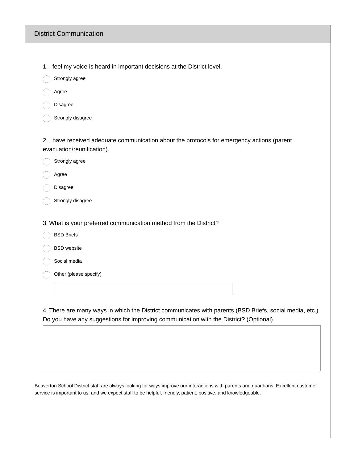| <b>District Communication</b>                                                                                             |
|---------------------------------------------------------------------------------------------------------------------------|
|                                                                                                                           |
| 1. I feel my voice is heard in important decisions at the District level.                                                 |
| Strongly agree                                                                                                            |
| Agree                                                                                                                     |
| Disagree                                                                                                                  |
| Strongly disagree                                                                                                         |
| 2. I have received adequate communication about the protocols for emergency actions (parent<br>evacuation/reunification). |
| Strongly agree                                                                                                            |
| Agree                                                                                                                     |
| Disagree                                                                                                                  |
| Strongly disagree                                                                                                         |
| 3. What is your preferred communication method from the District?                                                         |
| <b>BSD Briefs</b>                                                                                                         |
| <b>BSD</b> website                                                                                                        |
| Social media                                                                                                              |
| Other (please specify)                                                                                                    |
|                                                                                                                           |
|                                                                                                                           |

Beaverton School District staff are always looking for ways improve our interactions with parents and guardians. Excellent customer service is important to us, and we expect staff to be helpful, friendly, patient, positive, and knowledgeable.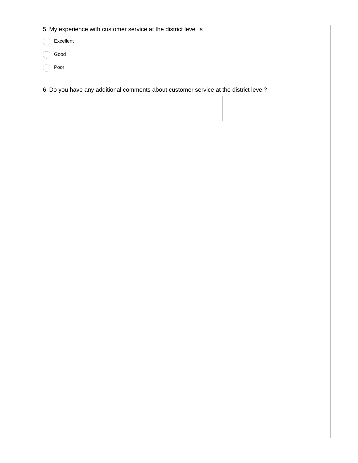5. My experience with customer service at the district level is

Excellent

Good Poor

6. Do you have any additional comments about customer service at the district level?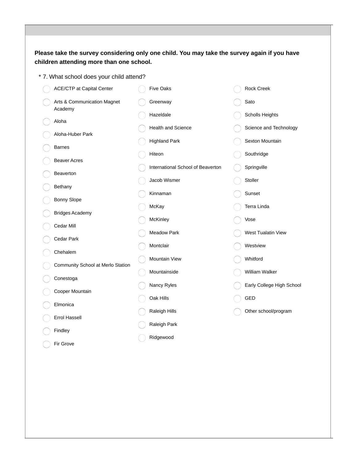## **Please take the survey considering only one child. You may take the survey again if you have children attending more than one school.**

\* 7. What school does your child attend?

| <b>ACE/CTP at Capital Center</b>       | <b>Five Oaks</b>                  | Rock Creek                |
|----------------------------------------|-----------------------------------|---------------------------|
| Arts & Communication Magnet<br>Academy | Greenway                          | Sato                      |
| Aloha                                  | Hazeldale                         | Scholls Heights           |
|                                        | <b>Health and Science</b>         | Science and Technology    |
| Aloha-Huber Park                       | <b>Highland Park</b>              | Sexton Mountain           |
| <b>Barnes</b>                          | Hiteon                            | Southridge                |
| <b>Beaver Acres</b>                    | International School of Beaverton | Springville               |
| Beaverton                              | Jacob Wismer                      | Stoller                   |
| Bethany                                | Kinnaman                          | Sunset                    |
| <b>Bonny Slope</b>                     | McKay                             | Terra Linda               |
| <b>Bridges Academy</b>                 | McKinley                          | Vose                      |
| Cedar Mill                             | <b>Meadow Park</b>                | West Tualatin View        |
| Cedar Park                             |                                   |                           |
| Chehalem                               | Montclair                         | Westview                  |
| Community School at Merlo Station      | Mountain View                     | Whitford                  |
| Conestoga                              | Mountainside                      | William Walker            |
| Cooper Mountain                        | Nancy Ryles                       | Early College High School |
| Elmonica                               | Oak Hills                         | GED                       |
| <b>Errol Hassell</b>                   | Raleigh Hills                     | Other school/program      |
| Findley                                | Raleigh Park                      |                           |
| Fir Grove                              | Ridgewood                         |                           |
|                                        |                                   |                           |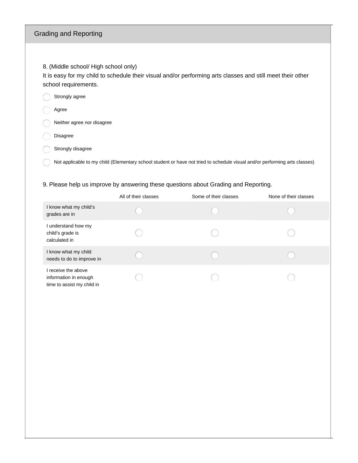## Grading and Reporting

8. (Middle school/ High school only)

It is easy for my child to schedule their visual and/or performing arts classes and still meet their other school requirements.

| Strongly agree |  |
|----------------|--|
|----------------|--|

Agree

Neither agree nor disagree

- Disagree
- $\bigcirc$  Strongly disagree

Not applicable to my child (Elementary school student or have not tried to schedule visual and/or performing arts classes)  $( )$ 

#### 9. Please help us improve by answering these questions about Grading and Reporting.

|                                                                            | All of their classes | Some of their classes | None of their classes |
|----------------------------------------------------------------------------|----------------------|-----------------------|-----------------------|
| I know what my child's<br>grades are in                                    |                      |                       |                       |
| I understand how my<br>child's grade is<br>calculated in                   |                      |                       |                       |
| I know what my child<br>needs to do to improve in                          |                      |                       |                       |
| I receive the above<br>information in enough<br>time to assist my child in |                      |                       |                       |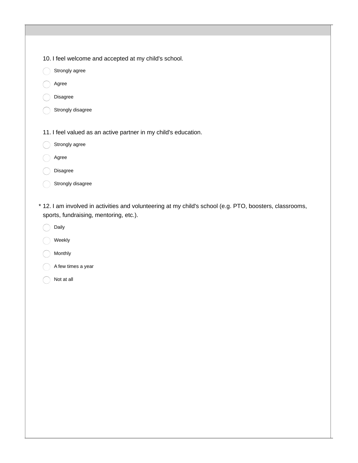- 10. I feel welcome and accepted at my child's school.
- $\bigcap$ Strongly agree
- Agree
- Disagree
- Strongly disagree
- 11. I feel valued as an active partner in my child's education.
- $\bigcap$ Strongly agree
- Agree
- Disagree
- Strongly disagree
- 12. I am involved in activities and volunteering at my child's school (e.g. PTO, boosters, classrooms, \* sports, fundraising, mentoring, etc.).
	- Daily
	- Weekly
	- Monthly
	- A few times a year
	- Not at all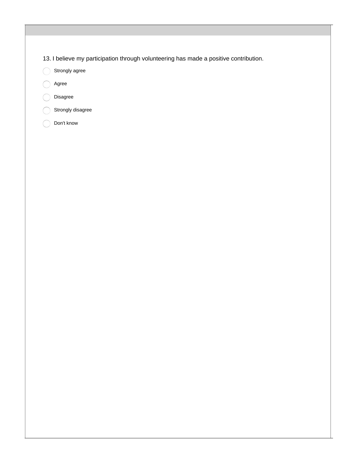13. I believe my participation through volunteering has made a positive contribution.

Strongly agree  $\bigcap$ 

- Agree
- Disagree

Strongly disagree

Don't know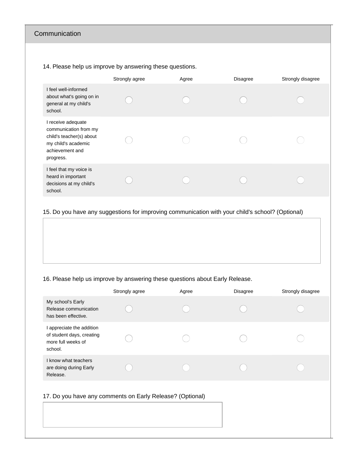## Communication

14. Please help us improve by answering these questions.

|                                                                                                                                | Strongly agree | Agree | <b>Disagree</b> | Strongly disagree |
|--------------------------------------------------------------------------------------------------------------------------------|----------------|-------|-----------------|-------------------|
| I feel well-informed<br>about what's going on in<br>general at my child's<br>school.                                           |                |       |                 |                   |
| I receive adequate<br>communication from my<br>child's teacher(s) about<br>my child's academic<br>achievement and<br>progress. |                |       |                 |                   |
| I feel that my voice is<br>heard in important<br>decisions at my child's<br>school.                                            |                |       |                 |                   |

#### 15. Do you have any suggestions for improving communication with your child's school? (Optional)

## 16. Please help us improve by answering these questions about Early Release.

|                                                                                                                                                                                                                                                                                                                                                     | Strongly agree | Agree | <b>Disagree</b> | Strongly disagree |
|-----------------------------------------------------------------------------------------------------------------------------------------------------------------------------------------------------------------------------------------------------------------------------------------------------------------------------------------------------|----------------|-------|-----------------|-------------------|
| My school's Early<br>Release communication<br>has been effective.                                                                                                                                                                                                                                                                                   |                |       |                 |                   |
| I appreciate the addition<br>of student days, creating<br>more full weeks of<br>school.                                                                                                                                                                                                                                                             |                |       |                 |                   |
| I know what teachers<br>are doing during Early<br>Release.                                                                                                                                                                                                                                                                                          |                |       |                 |                   |
| $\overline{A}$ , $\overline{B}$ , $\overline{B}$ , $\overline{C}$ , $\overline{D}$ , $\overline{D}$ , $\overline{D}$ , $\overline{D}$ , $\overline{D}$ , $\overline{D}$ , $\overline{D}$ , $\overline{D}$ , $\overline{D}$ , $\overline{D}$ , $\overline{D}$ , $\overline{D}$ , $\overline{D}$ , $\overline{D}$ , $\overline{D}$ , $\overline{D}$ , |                |       |                 |                   |

#### 17. Do you have any comments on Early Release? (Optional)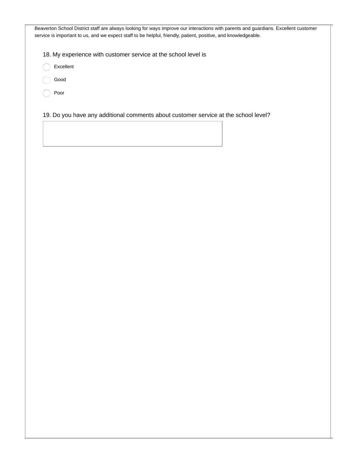Beaverton School District staff are always looking for ways improve our interactions with parents and guardians. Excellent customer service is important to us, and we expect staff to be helpful, friendly, patient, positive, and knowledgeable.

18. My experience with customer service at the school level is

- Excellent
- Good
- Poor

19. Do you have any additional comments about customer service at the school level?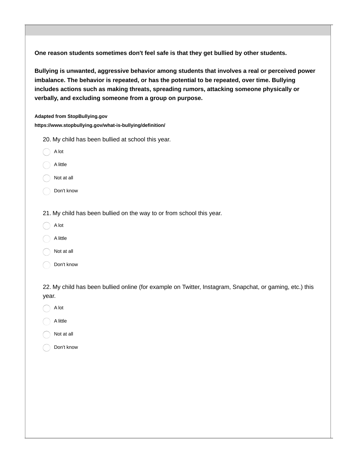**One reason students sometimes don't feel safe is that they get bullied by other students.**

**Bullying is unwanted, aggressive behavior among students that involves a real or perceived power imbalance. The behavior is repeated, or has the potential to be repeated, over time. Bullying includes actions such as making threats, spreading rumors, attacking someone physically or verbally, and excluding someone from a group on purpose.**

**Adapted from StopBullying.gov**

**https://www.stopbullying.gov/what-is-bullying/definition/**

- 20. My child has been bullied at school this year.
- A lot
- A little
- Not at all
- Don't know
- 21. My child has been bullied on the way to or from school this year.
- A lot
- A little
- Not at all
- Don't know

22. My child has been bullied online (for example on Twitter, Instagram, Snapchat, or gaming, etc.) this year.

- $\bigcap$  A lot
- A little
- Not at all
- Don't know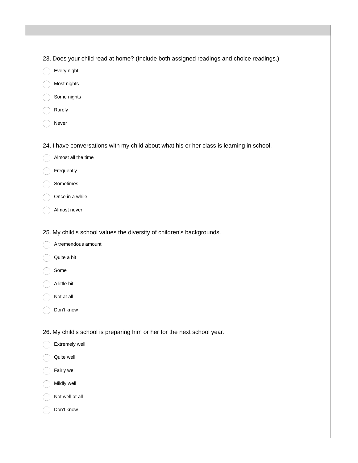- 23. Does your child read at home? (Include both assigned readings and choice readings.)
- Every night
- Most nights
- Some nights
- Rarely
- Never

24. I have conversations with my child about what his or her class is learning in school.

- Almost all the time
- Frequently
- Sometimes
- Once in a while
- Almost never
- 25. My child's school values the diversity of children's backgrounds.
- A tremendous amount
- Quite a bit
- Some
- A little bit
- Not at all
- Don't know

26. My child's school is preparing him or her for the next school year.

- Extremely well
- Quite well
- Fairly well
- Mildly well
- Not well at all
- Don't know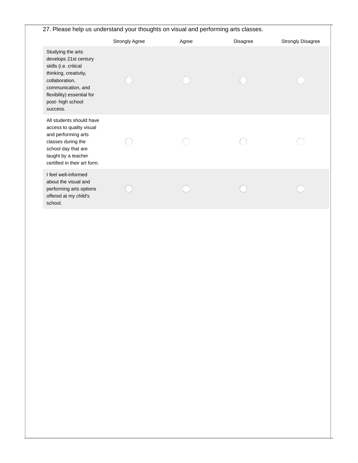# 27. Please help us understand your thoughts on visual and performing arts classes.

|                                                                                                                                                                                                     | <b>Strongly Agree</b> | Agree | <b>Disagree</b> | <b>Strongly Disagree</b> |
|-----------------------------------------------------------------------------------------------------------------------------------------------------------------------------------------------------|-----------------------|-------|-----------------|--------------------------|
| Studying the arts<br>develops 21st century<br>skills (i.e. critical<br>thinking, creativity,<br>collaboration,<br>communication, and<br>flexibility) essential for<br>post- high school<br>success. |                       |       |                 |                          |
| All students should have<br>access to quality visual<br>and performing arts<br>classes during the<br>school day that are<br>taught by a teacher<br>certified in their art form.                     |                       |       |                 |                          |
| I feel well-informed<br>about the visual and<br>performing arts options<br>offered at my child's<br>school.                                                                                         |                       |       |                 |                          |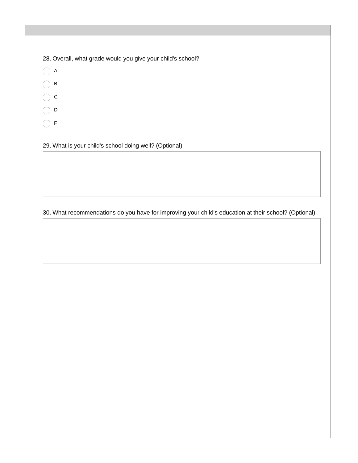|  |  |  |  | 28. Overall, what grade would you give your child's school? |
|--|--|--|--|-------------------------------------------------------------|
|  |  |  |  |                                                             |

- $\bigcirc$  A  $\bigcap$  B
- $\bigcirc$  c
- $\bigcirc$  D
- $\bigcirc$  F

29. What is your child's school doing well? (Optional)

# 30. What recommendations do you have for improving your child's education at their school? (Optional)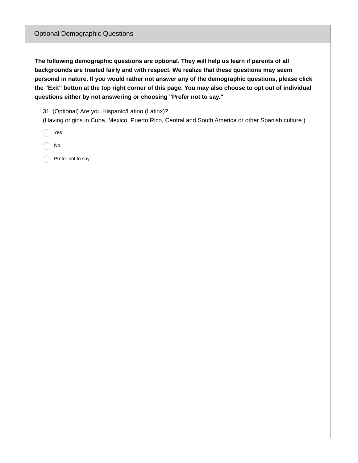#### Optional Demographic Questions

**The following demographic questions are optional. They will help us learn if parents of all backgrounds are treated fairly and with respect. We realize that these questions may seem personal in nature. If you would rather not answer any of the demographic questions, please click** the "Exit" button at the top right corner of this page. You may also choose to opt out of individual **questions either by not answering or choosing "Prefer not to say."**

31. (Optional) Are you Hispanic/Latino (Latinx)?

(Having origins in Cuba, Mexico, Puerto Rico, Central and South America or other Spanish culture.)

Yes

No

Prefer not to say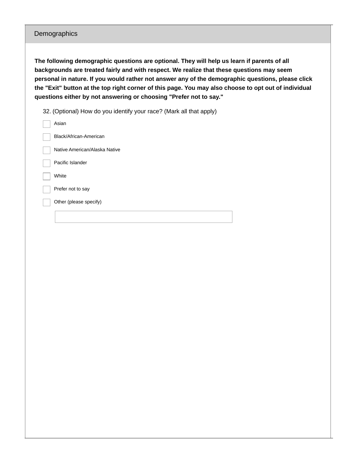## Demographics

**The following demographic questions are optional. They will help us learn if parents of all backgrounds are treated fairly and with respect. We realize that these questions may seem personal in nature. If you would rather not answer any of the demographic questions, please click** the "Exit" button at the top right corner of this page. You may also choose to opt out of individual **questions either by not answering or choosing "Prefer not to say."**

32. (Optional) How do you identify your race? (Mark all that apply)

| Asian                         |
|-------------------------------|
| Black/African-American        |
| Native American/Alaska Native |
| Pacific Islander              |
| White                         |
| Prefer not to say             |
| Other (please specify)        |
|                               |